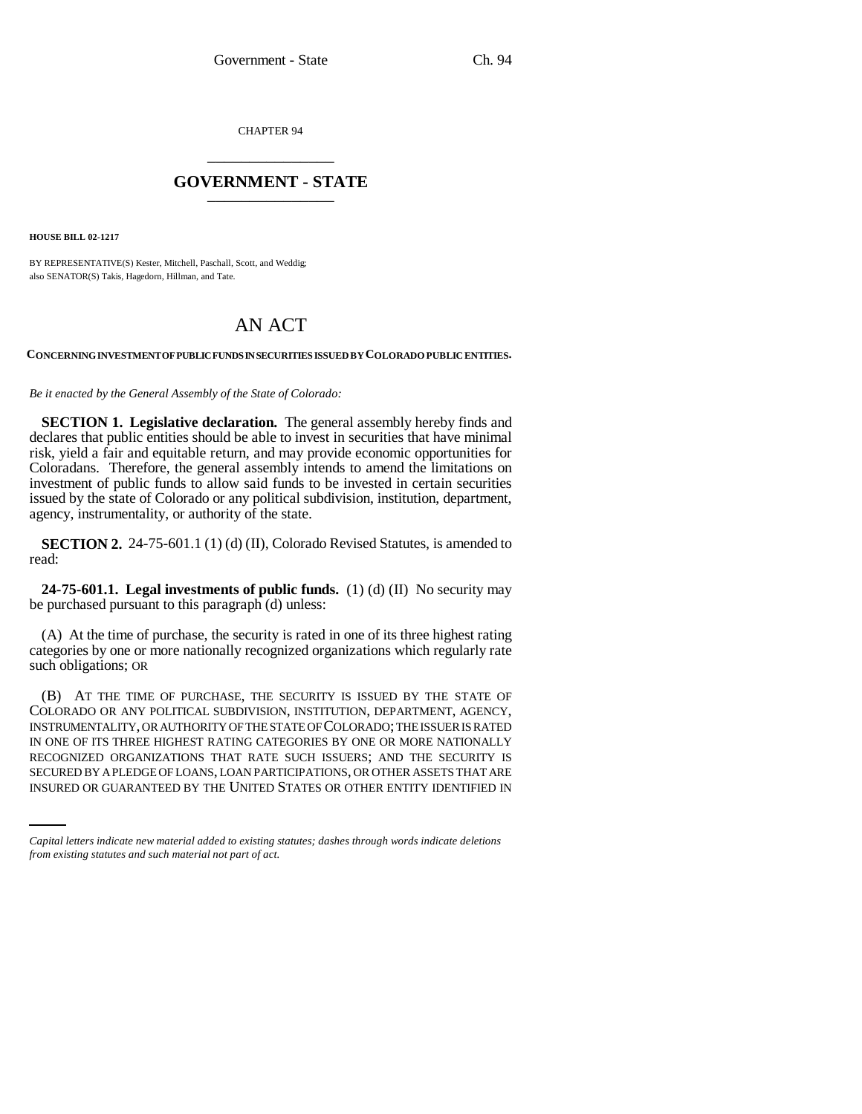CHAPTER 94 \_\_\_\_\_\_\_\_\_\_\_\_\_\_\_

## **GOVERNMENT - STATE** \_\_\_\_\_\_\_\_\_\_\_\_\_\_\_

**HOUSE BILL 02-1217**

BY REPRESENTATIVE(S) Kester, Mitchell, Paschall, Scott, and Weddig; also SENATOR(S) Takis, Hagedorn, Hillman, and Tate.

## AN ACT

## **CONCERNING INVESTMENT OF PUBLIC FUNDS IN SECURITIES ISSUED BY COLORADO PUBLIC ENTITIES.**

*Be it enacted by the General Assembly of the State of Colorado:*

**SECTION 1. Legislative declaration.** The general assembly hereby finds and declares that public entities should be able to invest in securities that have minimal risk, yield a fair and equitable return, and may provide economic opportunities for Coloradans. Therefore, the general assembly intends to amend the limitations on investment of public funds to allow said funds to be invested in certain securities issued by the state of Colorado or any political subdivision, institution, department, agency, instrumentality, or authority of the state.

**SECTION 2.** 24-75-601.1 (1) (d) (II), Colorado Revised Statutes, is amended to read:

**24-75-601.1. Legal investments of public funds.** (1) (d) (II) No security may be purchased pursuant to this paragraph (d) unless:

(A) At the time of purchase, the security is rated in one of its three highest rating categories by one or more nationally recognized organizations which regularly rate such obligations; OR

RECOGNIZED ORGANIZATIONS THAT RATE SUCH ISSUERS; AND THE SECURITY IS (B) AT THE TIME OF PURCHASE, THE SECURITY IS ISSUED BY THE STATE OF COLORADO OR ANY POLITICAL SUBDIVISION, INSTITUTION, DEPARTMENT, AGENCY, INSTRUMENTALITY, OR AUTHORITY OF THE STATE OF COLORADO; THE ISSUER IS RATED IN ONE OF ITS THREE HIGHEST RATING CATEGORIES BY ONE OR MORE NATIONALLY SECURED BY A PLEDGE OF LOANS, LOAN PARTICIPATIONS, OR OTHER ASSETS THAT ARE INSURED OR GUARANTEED BY THE UNITED STATES OR OTHER ENTITY IDENTIFIED IN

*Capital letters indicate new material added to existing statutes; dashes through words indicate deletions from existing statutes and such material not part of act.*